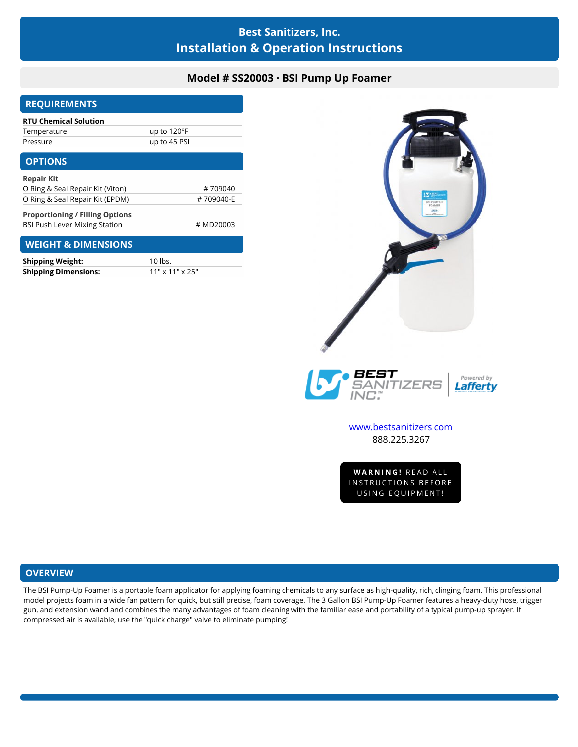# **Best Sanitizers, Inc. Installation & Operation Instructions**

## **Model # SS20003 · BSI Pump Up Foamer**

| <b>REQUIREMENTS</b>                    |              |
|----------------------------------------|--------------|
| <b>RTU Chemical Solution</b>           |              |
| Temperature                            | up to 120°F  |
| Pressure                               | up to 45 PSI |
| <b>OPTIONS</b>                         |              |
| <b>Repair Kit</b>                      |              |
| O Ring & Seal Repair Kit (Viton)       | #709040      |
| O Ring & Seal Repair Kit (EPDM)        | #709040-E    |
| <b>Proportioning / Filling Options</b> |              |
| <b>BSI Push Lever Mixing Station</b>   | # MD20003    |
| <b>WEIGHT &amp; DIMENSIONS</b>         |              |
| <b>Shinning Weight:</b>                | 10 lbs       |

| <b>Shipping Weight:</b>     | 10 lbs.                     |
|-----------------------------|-----------------------------|
| <b>Shipping Dimensions:</b> | $11" \times 11" \times 25"$ |



[www.bestsanitizers.com](http://www.bestsanitizers.com/) 888.225.3267

WW.Destsanitizers.com<br>888.225.3267<br>WARNING! READ ALL<br>NSTRUCTIONS BEFORE 888.225.3267<br>WARNING! READ ALL<br>INSTRUCTIONS BEFORE<br>USING EQUIPMENT! **VARNING!** READ ALL<br>STRUCTIONS BEFORE<br>USING EQUIPMENT!

## **OVERVIEW**

The BSI Pump-Up Foamer is a portable foam applicator for applying foaming chemicals to any surface as high-quality, rich, clinging foam. This professional model projects foam in a wide fan pattern for quick, but still precise, foam coverage. The 3 Gallon BSI Pump-Up Foamer features a heavy-duty hose, trigger gun, and extension wand and combines the many advantages of foam cleaning with the familiar ease and portability of a typical pump-up sprayer. If compressed air is available, use the "quick charge" valve to eliminate pumping!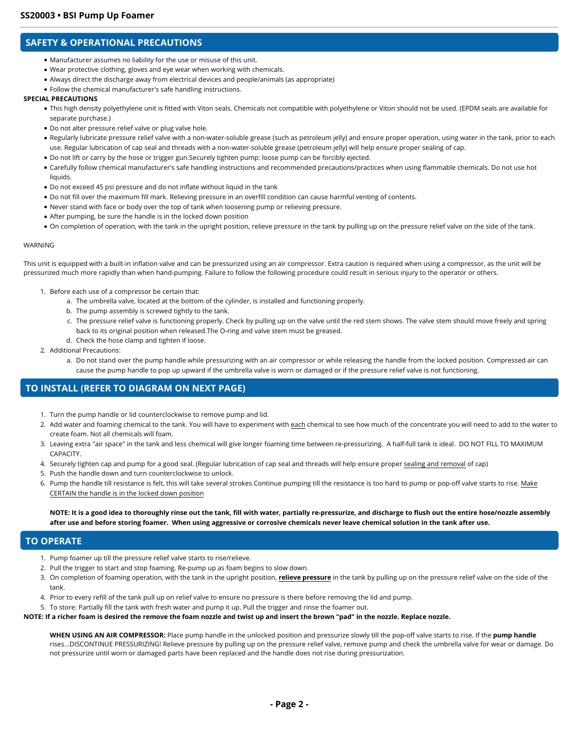## **SAFETY & OPERATIONAL PRECAUTIONS**

- Manufacturer assumes no liability for the use or misuse of this unit.
- Wear protective clothing, gloves and eye wear when working with chemicals.
- Always direct the discharge away from electrical devices and people/animals (as appropriate)
- Follow the chemical manufacturer's safe handling instructions.

#### **SPECIAL PRECAUTIONS**

- This high density polyethylene unit is fitted with Viton seals. Chemicals not compatible with polyethylene or Viton should not be used. (EPDM seals are available for separate purchase.)
- Do not alter pressure relief valve or plug valve hole.
- Regularly lubricate pressure relief valve with a non-water-soluble grease (such as petroleum jelly) and ensure proper operation, using water in the tank, prior to each use. Regular lubrication of cap seal and threads with a non-water-soluble grease (petroleum jelly) will help ensure proper sealing of cap.
- Do not lift or carry by the hose or trigger gun.Securely tighten pump: loose pump can be forcibly ejected.
- Carefully follow chemical manufacturer's safe handling instructions and recommended precautions/practices when using flammable chemicals. Do not use hot liquids.
- Do not exceed 45 psi pressure and do not inflate without liquid in the tank
- Do not fill over the maximum fill mark. Relieving pressure in an overfill condition can cause harmful venting of contents.
- Never stand with face or body over the top of tank when loosening pump or relieving pressure.
- After pumping, be sure the handle is in the locked down position
- On completion of operation, with the tank in the upright position, relieve pressure in the tank by pulling up on the pressure relief valve on the side of the tank.

#### WARNING

This unit is equipped with a built-in inflation valve and can be pressurized using an air compressor. Extra caution is required when using a compressor, as the unit will be pressurized much more rapidly than when hand-pumping. Failure to follow the following procedure could result in serious injury to the operator or others.

- 1. Before each use of a compressor be certain that:
	- a. The umbrella valve, located at the bottom of the cylinder, is installed and functioning properly.
	- b. The pump assembly is screwed tightly to the tank.
	- c. The pressure relief valve is functioning properly. Check by pulling up on the valve until the red stem shows. The valve stem should move freely and spring back to its original position when released.The O-ring and valve stem must be greased.
	- d. Check the hose clamp and tighten if loose.
- 2. Additional Precautions:
	- a. Do not stand over the pump handle while pressurizing with an air compressor or while releasing the handle from the locked position. Compressed air can cause the pump handle to pop up upward if the umbrella valve is worn or damaged or if the pressure relief valve is not functioning.

## **TO INSTALL (REFER TO DIAGRAM ON NEXT PAGE)**

- 1. Turn the pump handle or lid counterclockwise to remove pump and lid.
- 2. Add water and foaming chemical to the tank. You will have to experiment with each chemical to see how much of the concentrate you will need to add to the water to create foam. Not all chemicals will foam.
- 3. Leaving extra "air space" in the tank and less chemical will give longer foaming time between re-pressurizing. A half-full tank is ideal. DO NOT FILL TO MAXIMUM CAPACITY.
- 4. Securely tighten cap and pump for a good seal. (Regular lubrication of cap seal and threads will help ensure proper sealing and removal of cap)
- 5. Push the handle down and turn counterclockwise to unlock.
- 6. Pump the handle till resistance is felt, this will take several strokes.Continue pumping till the resistance is too hard to pump or pop-off valve starts to rise. Make CERTAIN the handle is in the locked down position

**NOTE: It is a good idea to thoroughly rinse out the tank, fill with water, partially re-pressurize, and discharge to flush out the entire hose/nozzle assembly after use and before storing foamer. When using aggressive or corrosive chemicals never leave chemical solution in the tank after use.**

### **TO OPERATE**

- 1. Pump foamer up till the pressure relief valve starts to rise/relieve.
- 2. Pull the trigger to start and stop foaming. Re-pump up as foam begins to slow down.
- 3. On completion of foaming operation, with the tank in the upright position, **relieve pressure** in the tank by pulling up on the pressure relief valve on the side of the tank.
- 4. Prior to every refill of the tank pull up on relief valve to ensure no pressure is there before removing the lid and pump.

5. To store: Partially fill the tank with fresh water and pump it up. Pull the trigger and rinse the foamer out.

**NOTE: If a richer foam is desired the remove the foam nozzle and twist up and insert the brown "pad" in the nozzle. Replace nozzle.**

**WHEN USING AN AIR COMPRESSOR:** Place pump handle in the unlocked position and pressurize slowly till the pop-off valve starts to rise. If the **pump handle** rises...DISCONTINUE PRESSURIZING! Relieve pressure by pulling up on the pressure relief valve, remove pump and check the umbrella valve for wear or damage. Do not pressurize until worn or damaged parts have been replaced and the handle does not rise during pressurization.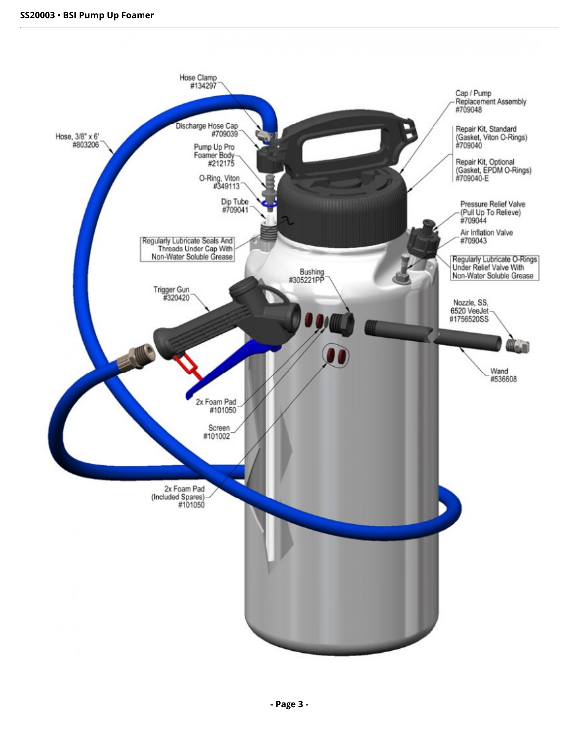